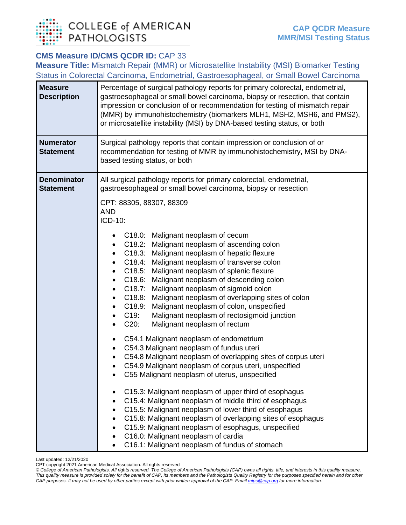

## **CMS Measure ID/CMS QCDR ID:** CAP 33

**Measure Title:** Mismatch Repair (MMR) or Microsatellite Instability (MSI) Biomarker Testing Status in Colorectal Carcinoma, Endometrial, Gastroesophageal, or Small Bowel Carcinoma

| <b>Measure</b><br><b>Description</b>   | Percentage of surgical pathology reports for primary colorectal, endometrial,<br>gastroesophageal or small bowel carcinoma, biopsy or resection, that contain<br>impression or conclusion of or recommendation for testing of mismatch repair<br>(MMR) by immunohistochemistry (biomarkers MLH1, MSH2, MSH6, and PMS2),<br>or microsatellite instability (MSI) by DNA-based testing status, or both                                                                                                                                                                                                                                                                                                                                                                                                                                                                                                                                                                                                                                                                                                                                                                                                                                                                                                                                                                                                                                                                                    |
|----------------------------------------|----------------------------------------------------------------------------------------------------------------------------------------------------------------------------------------------------------------------------------------------------------------------------------------------------------------------------------------------------------------------------------------------------------------------------------------------------------------------------------------------------------------------------------------------------------------------------------------------------------------------------------------------------------------------------------------------------------------------------------------------------------------------------------------------------------------------------------------------------------------------------------------------------------------------------------------------------------------------------------------------------------------------------------------------------------------------------------------------------------------------------------------------------------------------------------------------------------------------------------------------------------------------------------------------------------------------------------------------------------------------------------------------------------------------------------------------------------------------------------------|
| <b>Numerator</b><br><b>Statement</b>   | Surgical pathology reports that contain impression or conclusion of or<br>recommendation for testing of MMR by immunohistochemistry, MSI by DNA-<br>based testing status, or both                                                                                                                                                                                                                                                                                                                                                                                                                                                                                                                                                                                                                                                                                                                                                                                                                                                                                                                                                                                                                                                                                                                                                                                                                                                                                                      |
| <b>Denominator</b><br><b>Statement</b> | All surgical pathology reports for primary colorectal, endometrial,<br>gastroesophageal or small bowel carcinoma, biopsy or resection<br>CPT: 88305, 88307, 88309<br><b>AND</b><br>ICD-10:<br>C18.0: Malignant neoplasm of cecum<br>C18.2: Malignant neoplasm of ascending colon<br>$\bullet$<br>C18.3: Malignant neoplasm of hepatic flexure<br>$\bullet$<br>C18.4: Malignant neoplasm of transverse colon<br>$\bullet$<br>C18.5: Malignant neoplasm of splenic flexure<br>$\bullet$<br>C18.6: Malignant neoplasm of descending colon<br>$\bullet$<br>C18.7: Malignant neoplasm of sigmoid colon<br>$\bullet$<br>C18.8:<br>Malignant neoplasm of overlapping sites of colon<br>$\bullet$<br>C18.9:<br>Malignant neoplasm of colon, unspecified<br>$\bullet$<br>C19:<br>Malignant neoplasm of rectosigmoid junction<br>$\bullet$<br>$C20$ :<br>Malignant neoplasm of rectum<br>C54.1 Malignant neoplasm of endometrium<br>$\bullet$<br>C54.3 Malignant neoplasm of fundus uteri<br>$\bullet$<br>C54.8 Malignant neoplasm of overlapping sites of corpus uteri<br>$\bullet$<br>C54.9 Malignant neoplasm of corpus uteri, unspecified<br>C55 Malignant neoplasm of uterus, unspecified<br>C15.3: Malignant neoplasm of upper third of esophagus<br>C15.4: Malignant neoplasm of middle third of esophagus<br>C15.5: Malignant neoplasm of lower third of esophagus<br>C15.8: Malignant neoplasm of overlapping sites of esophagus<br>C15.9: Malignant neoplasm of esophagus, unspecified |
|                                        | C16.0: Malignant neoplasm of cardia<br>C16.1: Malignant neoplasm of fundus of stomach                                                                                                                                                                                                                                                                                                                                                                                                                                                                                                                                                                                                                                                                                                                                                                                                                                                                                                                                                                                                                                                                                                                                                                                                                                                                                                                                                                                                  |

Last updated: 12/21/2020

*© College of American Pathologists. All rights reserved. The College of American Pathologists (CAP) owns all rights, title, and interests in this quality measure. This quality measure is provided solely for the benefit of CAP, its members and the Pathologists Quality Registry for the purposes specified herein and for other CAP purposes. It may not be used by other parties except with prior written approval of the CAP. Emai[l mips@cap.org](mailto:mips@cap.org) for more information.*

CPT copyright 2021 American Medical Association. All rights reserved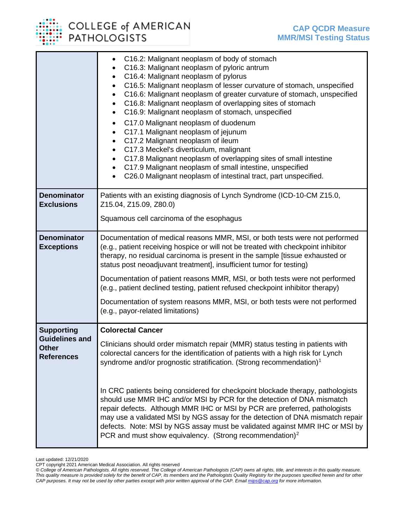COLLEGE of AMERICAN<br>PATHOLOGISTS

|                                                                                 | C16.2: Malignant neoplasm of body of stomach<br>$\bullet$<br>C16.3: Malignant neoplasm of pyloric antrum<br>$\bullet$<br>C16.4: Malignant neoplasm of pylorus<br>$\bullet$<br>C16.5: Malignant neoplasm of lesser curvature of stomach, unspecified<br>$\bullet$<br>C16.6: Malignant neoplasm of greater curvature of stomach, unspecified<br>$\bullet$<br>C16.8: Malignant neoplasm of overlapping sites of stomach<br>$\bullet$<br>C16.9: Malignant neoplasm of stomach, unspecified<br>$\bullet$<br>C17.0 Malignant neoplasm of duodenum<br>$\bullet$<br>C17.1 Malignant neoplasm of jejunum<br>$\bullet$<br>C17.2 Malignant neoplasm of ileum<br>$\bullet$<br>C17.3 Meckel's diverticulum, malignant<br>$\bullet$<br>C17.8 Malignant neoplasm of overlapping sites of small intestine<br>$\bullet$<br>C17.9 Malignant neoplasm of small intestine, unspecified<br>$\bullet$<br>C26.0 Malignant neoplasm of intestinal tract, part unspecified. |
|---------------------------------------------------------------------------------|----------------------------------------------------------------------------------------------------------------------------------------------------------------------------------------------------------------------------------------------------------------------------------------------------------------------------------------------------------------------------------------------------------------------------------------------------------------------------------------------------------------------------------------------------------------------------------------------------------------------------------------------------------------------------------------------------------------------------------------------------------------------------------------------------------------------------------------------------------------------------------------------------------------------------------------------------|
| <b>Denominator</b><br><b>Exclusions</b>                                         | Patients with an existing diagnosis of Lynch Syndrome (ICD-10-CM Z15.0,<br>Z15.04, Z15.09, Z80.0)<br>Squamous cell carcinoma of the esophagus                                                                                                                                                                                                                                                                                                                                                                                                                                                                                                                                                                                                                                                                                                                                                                                                      |
| <b>Denominator</b><br><b>Exceptions</b>                                         | Documentation of medical reasons MMR, MSI, or both tests were not performed<br>(e.g., patient receiving hospice or will not be treated with checkpoint inhibitor<br>therapy, no residual carcinoma is present in the sample [tissue exhausted or<br>status post neoadjuvant treatment], insufficient tumor for testing)<br>Documentation of patient reasons MMR, MSI, or both tests were not performed<br>(e.g., patient declined testing, patient refused checkpoint inhibitor therapy)<br>Documentation of system reasons MMR, MSI, or both tests were not performed<br>(e.g., payor-related limitations)                                                                                                                                                                                                                                                                                                                                        |
| <b>Supporting</b><br><b>Guidelines and</b><br><b>Other</b><br><b>References</b> | <b>Colorectal Cancer</b><br>Clinicians should order mismatch repair (MMR) status testing in patients with<br>colorectal cancers for the identification of patients with a high risk for Lynch<br>syndrome and/or prognostic stratification. (Strong recommendation) <sup>1</sup><br>In CRC patients being considered for checkpoint blockade therapy, pathologists<br>should use MMR IHC and/or MSI by PCR for the detection of DNA mismatch<br>repair defects. Although MMR IHC or MSI by PCR are preferred, pathologists                                                                                                                                                                                                                                                                                                                                                                                                                         |

<span id="page-1-0"></span>Last updated: 12/21/2020

CPT copyright 2021 American Medical Association. All rights reserved

*<sup>©</sup> College of American Pathologists. All rights reserved. The College of American Pathologists (CAP) owns all rights, title, and interests in this quality measure. This quality measure is provided solely for the benefit of CAP, its members and the Pathologists Quality Registry for the purposes specified herein and for other CAP purposes. It may not be used by other parties except with prior written approval of the CAP. Emai[l mips@cap.org](mailto:mips@cap.org) for more information.*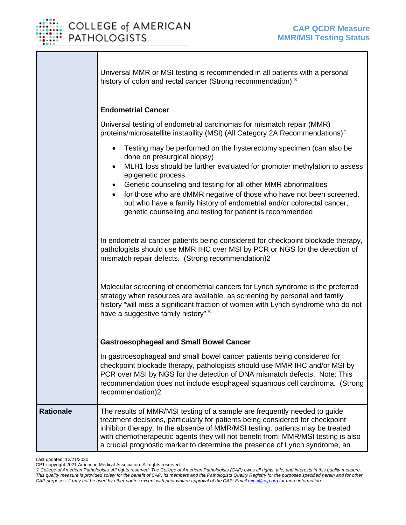

|                  | Universal MMR or MSI testing is recommended in all patients with a personal<br>history of colon and rectal cancer (Strong recommendation). <sup>3</sup>                                                                                                                                                                                                                                                                                                                                                                                                                                                                                                                                             |
|------------------|-----------------------------------------------------------------------------------------------------------------------------------------------------------------------------------------------------------------------------------------------------------------------------------------------------------------------------------------------------------------------------------------------------------------------------------------------------------------------------------------------------------------------------------------------------------------------------------------------------------------------------------------------------------------------------------------------------|
|                  | <b>Endometrial Cancer</b><br>Universal testing of endometrial carcinomas for mismatch repair (MMR)<br>proteins/microsatellite instability (MSI) (All Category 2A Recommendations) <sup>4</sup><br>Testing may be performed on the hysterectomy specimen (can also be<br>$\bullet$<br>done on presurgical biopsy)<br>MLH1 loss should be further evaluated for promoter methylation to assess<br>epigenetic process<br>Genetic counseling and testing for all other MMR abnormalities<br>for those who are dMMR negative of those who have not been screened,<br>but who have a family history of endometrial and/or colorectal cancer,<br>genetic counseling and testing for patient is recommended |
|                  | In endometrial cancer patients being considered for checkpoint blockade therapy,<br>pathologists should use MMR IHC over MSI by PCR or NGS for the detection of<br>mismatch repair defects. (Strong recommendation)2<br>Molecular screening of endometrial cancers for Lynch syndrome is the preferred<br>strategy when resources are available, as screening by personal and family<br>history "will miss a significant fraction of women with Lynch syndrome who do not<br>have a suggestive family history" <sup>5</sup>                                                                                                                                                                         |
|                  | <b>Gastroesophageal and Small Bowel Cancer</b><br>In gastroesophageal and small bowel cancer patients being considered for<br>checkpoint blockade therapy, pathologists should use MMR IHC and/or MSI by<br>PCR over MSI by NGS for the detection of DNA mismatch defects. Note: This<br>recommendation does not include esophageal squamous cell carcinoma. (Strong<br>recommendation)2                                                                                                                                                                                                                                                                                                            |
| <b>Rationale</b> | The results of MMR/MSI testing of a sample are frequently needed to guide<br>treatment decisions, particularly for patients being considered for checkpoint<br>inhibitor therapy. In the absence of MMR/MSI testing, patients may be treated<br>with chemotherapeutic agents they will not benefit from. MMR/MSI testing is also<br>a crucial prognostic marker to determine the presence of Lynch syndrome, an                                                                                                                                                                                                                                                                                     |

Last updated: 12/21/2020

CPT copyright 2021 American Medical Association. All rights reserved

*<sup>©</sup> College of American Pathologists. All rights reserved. The College of American Pathologists (CAP) owns all rights, title, and interests in this quality measure. This quality measure is provided solely for the benefit of CAP, its members and the Pathologists Quality Registry for the purposes specified herein and for other CAP purposes. It may not be used by other parties except with prior written approval of the CAP. Emai[l mips@cap.org](mailto:mips@cap.org) for more information.*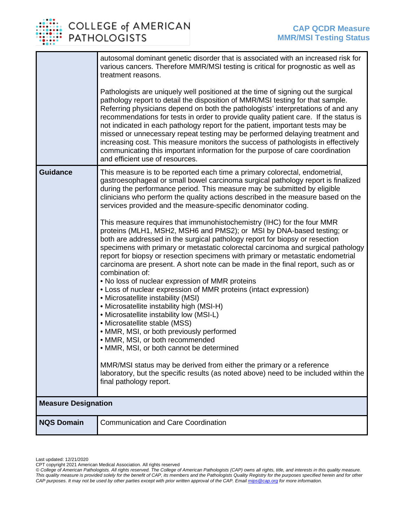

## COLLEGE of AMERICAN<br>PATHOLOGISTS

|                            | autosomal dominant genetic disorder that is associated with an increased risk for<br>various cancers. Therefore MMR/MSI testing is critical for prognostic as well as<br>treatment reasons.<br>Pathologists are uniquely well positioned at the time of signing out the surgical                                                                                                                                                                                                                                                                                                                                                      |  |
|----------------------------|---------------------------------------------------------------------------------------------------------------------------------------------------------------------------------------------------------------------------------------------------------------------------------------------------------------------------------------------------------------------------------------------------------------------------------------------------------------------------------------------------------------------------------------------------------------------------------------------------------------------------------------|--|
|                            | pathology report to detail the disposition of MMR/MSI testing for that sample.<br>Referring physicians depend on both the pathologists' interpretations of and any<br>recommendations for tests in order to provide quality patient care. If the status is<br>not indicated in each pathology report for the patient, important tests may be<br>missed or unnecessary repeat testing may be performed delaying treatment and<br>increasing cost. This measure monitors the success of pathologists in effectively<br>communicating this important information for the purpose of care coordination<br>and efficient use of resources. |  |
| <b>Guidance</b>            | This measure is to be reported each time a primary colorectal, endometrial,<br>gastroesophageal or small bowel carcinoma surgical pathology report is finalized<br>during the performance period. This measure may be submitted by eligible<br>clinicians who perform the quality actions described in the measure based on the<br>services provided and the measure-specific denominator coding.                                                                                                                                                                                                                                     |  |
|                            | This measure requires that immunohistochemistry (IHC) for the four MMR<br>proteins (MLH1, MSH2, MSH6 and PMS2); or MSI by DNA-based testing; or<br>both are addressed in the surgical pathology report for biopsy or resection<br>specimens with primary or metastatic colorectal carcinoma and surgical pathology<br>report for biopsy or resection specimens with primary or metastatic endometrial<br>carcinoma are present. A short note can be made in the final report, such as or<br>combination of:                                                                                                                           |  |
|                            | . No loss of nuclear expression of MMR proteins<br>• Loss of nuclear expression of MMR proteins (intact expression)                                                                                                                                                                                                                                                                                                                                                                                                                                                                                                                   |  |
|                            | • Microsatellite instability (MSI)<br>• Microsatellite instability high (MSI-H)                                                                                                                                                                                                                                                                                                                                                                                                                                                                                                                                                       |  |
|                            | • Microsatellite instability low (MSI-L)<br>• Microsatellite stable (MSS)                                                                                                                                                                                                                                                                                                                                                                                                                                                                                                                                                             |  |
|                            | • MMR, MSI, or both previously performed<br>• MMR, MSI, or both recommended                                                                                                                                                                                                                                                                                                                                                                                                                                                                                                                                                           |  |
|                            | • MMR, MSI, or both cannot be determined                                                                                                                                                                                                                                                                                                                                                                                                                                                                                                                                                                                              |  |
|                            | MMR/MSI status may be derived from either the primary or a reference<br>laboratory, but the specific results (as noted above) need to be included within the<br>final pathology report.                                                                                                                                                                                                                                                                                                                                                                                                                                               |  |
| <b>Measure Designation</b> |                                                                                                                                                                                                                                                                                                                                                                                                                                                                                                                                                                                                                                       |  |
| <b>NQS Domain</b>          | <b>Communication and Care Coordination</b>                                                                                                                                                                                                                                                                                                                                                                                                                                                                                                                                                                                            |  |

Last updated: 12/21/2020

CPT copyright 2021 American Medical Association. All rights reserved

*<sup>©</sup> College of American Pathologists. All rights reserved. The College of American Pathologists (CAP) owns all rights, title, and interests in this quality measure. This quality measure is provided solely for the benefit of CAP, its members and the Pathologists Quality Registry for the purposes specified herein and for other CAP purposes. It may not be used by other parties except with prior written approval of the CAP. Emai[l mips@cap.org](mailto:mips@cap.org) for more information.*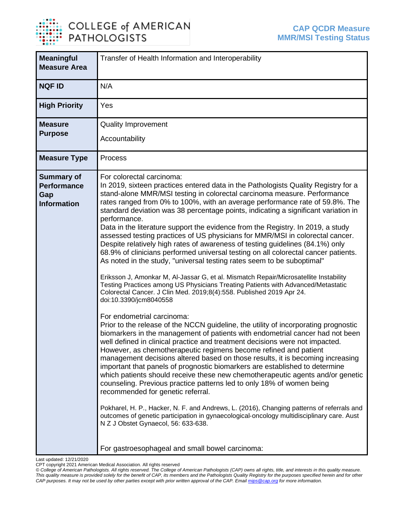

## COLLEGE of AMERICAN<br>PATHOLOGISTS

| <b>Meaningful</b><br><b>Measure Area</b>                             | Transfer of Health Information and Interoperability                                                                                                                                                                                                                                                                                                                                                                                                                                                                                                                                                                                                                                                                                                                                                                                                                                                                                                                                                                                                                                                                                                                                                                                                                                                                                                                                                                                                                                                                                                                                                                                                                                                                                                                                                                                                                                                                                                                                                                                                                                                  |
|----------------------------------------------------------------------|------------------------------------------------------------------------------------------------------------------------------------------------------------------------------------------------------------------------------------------------------------------------------------------------------------------------------------------------------------------------------------------------------------------------------------------------------------------------------------------------------------------------------------------------------------------------------------------------------------------------------------------------------------------------------------------------------------------------------------------------------------------------------------------------------------------------------------------------------------------------------------------------------------------------------------------------------------------------------------------------------------------------------------------------------------------------------------------------------------------------------------------------------------------------------------------------------------------------------------------------------------------------------------------------------------------------------------------------------------------------------------------------------------------------------------------------------------------------------------------------------------------------------------------------------------------------------------------------------------------------------------------------------------------------------------------------------------------------------------------------------------------------------------------------------------------------------------------------------------------------------------------------------------------------------------------------------------------------------------------------------------------------------------------------------------------------------------------------------|
| <b>NQF ID</b>                                                        | N/A                                                                                                                                                                                                                                                                                                                                                                                                                                                                                                                                                                                                                                                                                                                                                                                                                                                                                                                                                                                                                                                                                                                                                                                                                                                                                                                                                                                                                                                                                                                                                                                                                                                                                                                                                                                                                                                                                                                                                                                                                                                                                                  |
| <b>High Priority</b>                                                 | Yes                                                                                                                                                                                                                                                                                                                                                                                                                                                                                                                                                                                                                                                                                                                                                                                                                                                                                                                                                                                                                                                                                                                                                                                                                                                                                                                                                                                                                                                                                                                                                                                                                                                                                                                                                                                                                                                                                                                                                                                                                                                                                                  |
| <b>Measure</b><br><b>Purpose</b>                                     | <b>Quality Improvement</b><br>Accountability                                                                                                                                                                                                                                                                                                                                                                                                                                                                                                                                                                                                                                                                                                                                                                                                                                                                                                                                                                                                                                                                                                                                                                                                                                                                                                                                                                                                                                                                                                                                                                                                                                                                                                                                                                                                                                                                                                                                                                                                                                                         |
| <b>Measure Type</b>                                                  | Process                                                                                                                                                                                                                                                                                                                                                                                                                                                                                                                                                                                                                                                                                                                                                                                                                                                                                                                                                                                                                                                                                                                                                                                                                                                                                                                                                                                                                                                                                                                                                                                                                                                                                                                                                                                                                                                                                                                                                                                                                                                                                              |
| <b>Summary of</b><br><b>Performance</b><br>Gap<br><b>Information</b> | For colorectal carcinoma:<br>In 2019, sixteen practices entered data in the Pathologists Quality Registry for a<br>stand-alone MMR/MSI testing in colorectal carcinoma measure. Performance<br>rates ranged from 0% to 100%, with an average performance rate of 59.8%. The<br>standard deviation was 38 percentage points, indicating a significant variation in<br>performance.<br>Data in the literature support the evidence from the Registry. In 2019, a study<br>assessed testing practices of US physicians for MMR/MSI in colorectal cancer.<br>Despite relatively high rates of awareness of testing guidelines (84.1%) only<br>68.9% of clinicians performed universal testing on all colorectal cancer patients.<br>As noted in the study, "universal testing rates seem to be suboptimal"<br>Eriksson J, Amonkar M, Al-Jassar G, et al. Mismatch Repair/Microsatellite Instability<br>Testing Practices among US Physicians Treating Patients with Advanced/Metastatic<br>Colorectal Cancer. J Clin Med. 2019;8(4):558. Published 2019 Apr 24.<br>doi:10.3390/jcm8040558<br>For endometrial carcinoma:<br>Prior to the release of the NCCN guideline, the utility of incorporating prognostic<br>biomarkers in the management of patients with endometrial cancer had not been<br>well defined in clinical practice and treatment decisions were not impacted.<br>However, as chemotherapeutic regimens become refined and patient<br>management decisions altered based on those results, it is becoming increasing<br>important that panels of prognostic biomarkers are established to determine<br>which patients should receive these new chemotherapeutic agents and/or genetic<br>counseling. Previous practice patterns led to only 18% of women being<br>recommended for genetic referral.<br>Pokharel, H. P., Hacker, N. F. and Andrews, L. (2016), Changing patterns of referrals and<br>outcomes of genetic participation in gynaecological-oncology multidisciplinary care. Aust<br>N Z J Obstet Gynaecol, 56: 633-638.<br>For gastroesophageal and small bowel carcinoma: |

Last updated: 12/21/2020

CPT copyright 2021 American Medical Association. All rights reserved

*<sup>©</sup> College of American Pathologists. All rights reserved. The College of American Pathologists (CAP) owns all rights, title, and interests in this quality measure. This quality measure is provided solely for the benefit of CAP, its members and the Pathologists Quality Registry for the purposes specified herein and for other CAP purposes. It may not be used by other parties except with prior written approval of the CAP. Emai[l mips@cap.org](mailto:mips@cap.org) for more information.*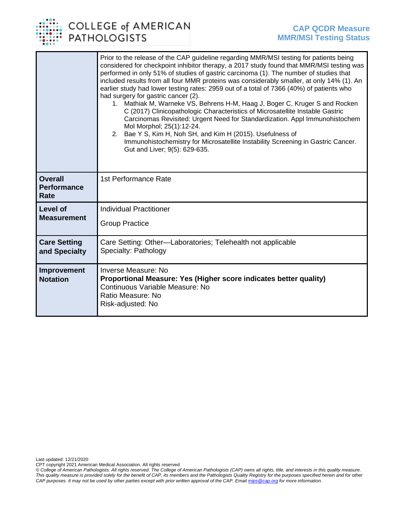

|                                              | Prior to the release of the CAP guideline regarding MMR/MSI testing for patients being<br>considered for checkpoint inhibitor therapy, a 2017 study found that MMR/MSI testing was<br>performed in only 51% of studies of gastric carcinoma (1). The number of studies that<br>included results from all four MMR proteins was considerably smaller, at only 14% (1). An<br>earlier study had lower testing rates: 2959 out of a total of 7366 (40%) of patients who<br>had surgery for gastric cancer (2).<br>1. Mathiak M, Warneke VS, Behrens H-M, Haag J, Boger C, Kruger S and Rocken<br>C (2017) Clinicopathologic Characteristics of Microsatellite Instable Gastric<br>Carcinomas Revisited: Urgent Need for Standardization. Appl Immunohistochem<br>Mol Morphol; 25(1):12-24.<br>Bae Y S, Kim H, Noh SH, and Kim H (2015). Usefulness of<br>2.<br>Immunohistochemistry for Microsatellite Instability Screening in Gastric Cancer.<br>Gut and Liver; 9(5): 629-635. |
|----------------------------------------------|-------------------------------------------------------------------------------------------------------------------------------------------------------------------------------------------------------------------------------------------------------------------------------------------------------------------------------------------------------------------------------------------------------------------------------------------------------------------------------------------------------------------------------------------------------------------------------------------------------------------------------------------------------------------------------------------------------------------------------------------------------------------------------------------------------------------------------------------------------------------------------------------------------------------------------------------------------------------------------|
| <b>Overall</b><br><b>Performance</b><br>Rate | 1st Performance Rate                                                                                                                                                                                                                                                                                                                                                                                                                                                                                                                                                                                                                                                                                                                                                                                                                                                                                                                                                          |
| <b>Level of</b>                              | <b>Individual Practitioner</b>                                                                                                                                                                                                                                                                                                                                                                                                                                                                                                                                                                                                                                                                                                                                                                                                                                                                                                                                                |
| <b>Measurement</b>                           | <b>Group Practice</b>                                                                                                                                                                                                                                                                                                                                                                                                                                                                                                                                                                                                                                                                                                                                                                                                                                                                                                                                                         |
| <b>Care Setting</b><br>and Specialty         | Care Setting: Other-Laboratories; Telehealth not applicable<br>Specialty: Pathology                                                                                                                                                                                                                                                                                                                                                                                                                                                                                                                                                                                                                                                                                                                                                                                                                                                                                           |
| Improvement<br><b>Notation</b>               | <b>Inverse Measure: No</b><br>Proportional Measure: Yes (Higher score indicates better quality)<br>Continuous Variable Measure: No<br>Ratio Measure: No<br>Risk-adjusted: No                                                                                                                                                                                                                                                                                                                                                                                                                                                                                                                                                                                                                                                                                                                                                                                                  |

Last updated: 12/21/2020

CPT copyright 2021 American Medical Association. All rights reserved

*© College of American Pathologists. All rights reserved. The College of American Pathologists (CAP) owns all rights, title, and interests in this quality measure. This quality measure is provided solely for the benefit of CAP, its members and the Pathologists Quality Registry for the purposes specified herein and for other CAP purposes. It may not be used by other parties except with prior written approval of the CAP. Emai[l mips@cap.org](mailto:mips@cap.org) for more information.*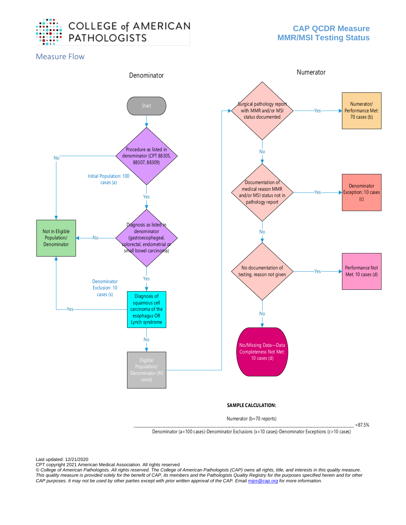

Measure Flow



Numerator (b=70 reports)

\_\_\_\_\_\_\_\_\_\_\_\_\_\_\_\_\_\_\_\_\_\_\_\_\_\_\_\_\_\_\_\_\_\_\_\_\_\_\_\_\_\_\_\_\_\_\_\_\_\_\_\_\_\_\_\_\_\_\_\_\_\_\_\_\_\_\_\_\_\_\_\_\_\_\_\_\_\_\_\_\_\_\_\_\_\_\_\_\_\_\_\_\_\_\_\_\_\_\_\_\_\_\_\_\_\_\_\_\_\_\_\_\_\_\_\_\_\_\_\_\_\_ =87.5%

Denominator (a=100 cases)-Denominator Exclusions (x=10 cases)-Denominator Exceptions (c=10 cases)

Last updated: 12/21/2020

CPT copyright 2021 American Medical Association. All rights reserved

*© College of American Pathologists. All rights reserved. The College of American Pathologists (CAP) owns all rights, title, and interests in this quality measure. This quality measure is provided solely for the benefit of CAP, its members and the Pathologists Quality Registry for the purposes specified herein and for other CAP purposes. It may not be used by other parties except with prior written approval of the CAP. Emai[l mips@cap.org](mailto:mips@cap.org) for more information.*